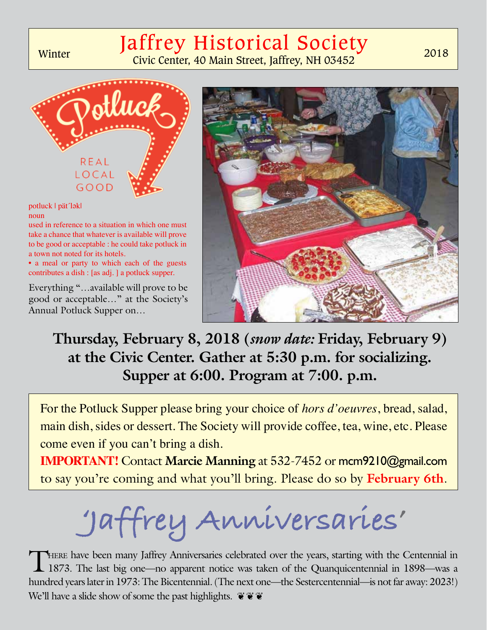## Jaffrey Historical Society

Winter Civic Center, 40 Main Street, Jaffrey, NH 03452



#### potluck | pät´lƏk| noun

used in reference to a situation in which one must take a chance that whatever is available will prove to be good or acceptable : he could take potluck in a town not noted for its hotels.

• a meal or party to which each of the guests contributes a dish : [as adj. ] a potluck supper.

Everything "…available will prove to be good or acceptable…" at the Society's Annual Potluck Supper on…



**Thursday, February 8, 2018 (***snow date:* **Friday, February 9) at the Civic Center. Gather at 5:30 p.m. for socializing. Supper at 6:00. Program at 7:00. p.m.**

For the Potluck Supper please bring your choice of *hors d'oeuvres*, bread, salad, main dish, sides or dessert. The Society will provide coffee, tea, wine, etc. Please come even if you can't bring a dish.

**IMPORTANT!** Contact **Marcie Manning** at 532-7452 or mcm9210@gmail.com to say you're coming and what you'll bring. Please do so by **February 6th**.

**'Jaffrey Anniversaries'**

THERE have been many Jaffrey Anniversaries celebrated over the years, starting with the Centennial in 1893—was a 1873. The last big one—no apparent notice was taken of the Quanquicentennial in 1898—was a hundred years later in 1973: The Bicentennial. (The next one—the Sestercentennial—is not far away: 2023!) We'll have a slide show of some the past highlights.  $\mathbf{\tilde{e}} \mathbf{\tilde{e}} \mathbf{\tilde{e}}$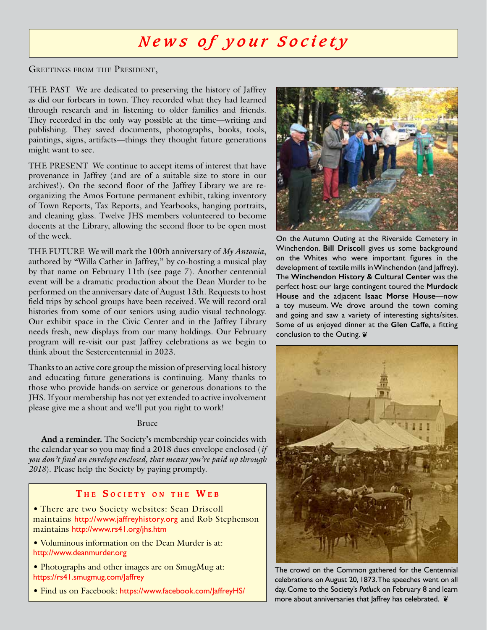### *News of your Society*

GREETINGS FROM THE PRESIDENT,

THE PAST We are dedicated to preserving the history of Jaffrey as did our forbears in town. They recorded what they had learned through research and in listening to older families and friends. They recorded in the only way possible at the time—writing and publishing. They saved documents, photographs, books, tools, paintings, signs, artifacts—things they thought future generations might want to see.

THE PRESENT We continue to accept items of interest that have provenance in Jaffrey (and are of a suitable size to store in our archives!). On the second floor of the Jaffrey Library we are reorganizing the Amos Fortune permanent exhibit, taking inventory of Town Reports, Tax Reports, and Yearbooks, hanging portraits, and cleaning glass. Twelve JHS members volunteered to become docents at the Library, allowing the second floor to be open most of the week.

THE FUTURE We will mark the 100th anniversary of *My Antonia*, authored by "Willa Cather in Jaffrey," by co-hosting a musical play by that name on February 11th (see page 7). Another centennial event will be a dramatic production about the Dean Murder to be performed on the anniversary date of August 13th. Requests to host field trips by school groups have been received. We will record oral histories from some of our seniors using audio visual technology. Our exhibit space in the Civic Center and in the Jaffrey Library needs fresh, new displays from our many holdings. Our February program will re-visit our past Jaffrey celebrations as we begin to think about the Sestercentennial in 2023.

Thanks to an active core group the mission of preserving local history and educating future generations is continuing. Many thanks to those who provide hands-on service or generous donations to the JHS. If your membership has not yet extended to active involvement please give me a shout and we'll put you right to work!

#### Bruce

**And a reminder.** The Society's membership year coincides with the calendar year so you may find a 2018 dues envelope enclosed (*if you don't find an envelope enclosed, that means you're paid up through 2018*). Please help the Society by paying promptly.

#### **T h e S o c i e <sup>t</sup> <sup>y</sup> o n <sup>t</sup> h e W e b**

• There are two Society websites: Sean Driscoll maintains http://www.jaffreyhistory.org and Rob Stephenson maintains http://www.rs41.org/jhs.htm

• Voluminous information on the Dean Murder is at: http://www.deanmurder.org

• Photographs and other images are on SmugMug at: https://rs41.smugmug.com/Jaffrey

• Find us on Facebook: https://www.facebook.com/JaffreyHS/



On the Autumn Outing at the Riverside Cemetery in Winchendon. **Bill Driscoll** gives us some background on the Whites who were important figures in the development of textile mills in Winchendon (and Jaffrey). The **Winchendon History & Cultural Center** was the perfect host: our large contingent toured the **Murdock House** and the adjacent **Isaac Morse House**—now a toy museum. We drove around the town coming and going and saw a variety of interesting sights/sites. Some of us enjoyed dinner at the **Glen Caffe**, a fitting conclusion to the Outing.  $\cdot$ 



The crowd on the Common gathered for the Centennial celebrations on August 20, 1873. The speeches went on all day. Come to the Society's *Potluck* on February 8 and learn more about anniversaries that Jaffrey has celebrated.  $\tilde{\mathbf{v}}$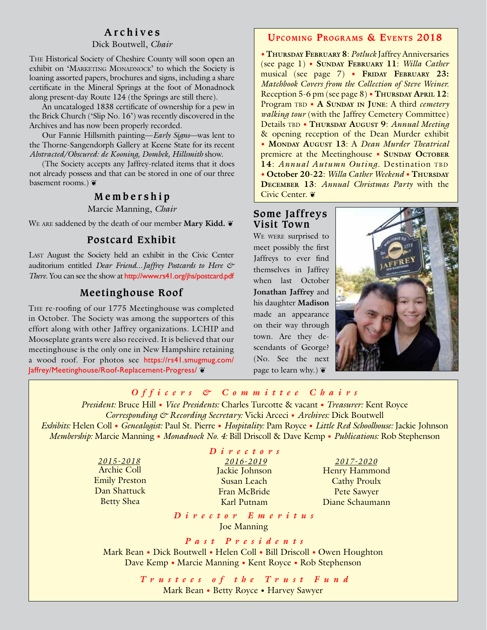#### **Archives**

#### Dick Boutwell, *Chair*

The Historical Society of Cheshire County will soon open an exhibit on 'MARKETING MONADNOCK' to which the Society is loaning assorted papers, brochures and signs, including a share certificate in the Mineral Springs at the foot of Monadnock along present-day Route 124 (the Springs are still there).

An uncataloged 1838 certificate of ownership for a pew in the Brick Church ('Slip No. 16') was recently discovered in the Archives and has now been properly recorded.

Our Fannie Hillsmith painting—*Early Signs*—was lent to the Thorne-Sangendorph Gallery at Keene State for its recent *Abstracted/Obscured: de Kooning, Dombek, Hillsmith* show.

(The Society accepts any Jaffrey-related items that it does not already possess and that can be stored in one of our three basement rooms.)

#### **Membership**

Marcie Manning, *Chair*

We are saddened by the death of our member **Mary Kidd.** ❦

#### **Postcard Exhibit**

LAST August the Society held an exhibit in the Civic Center auditorium entitled *Dear Friend…Jaffrey Postcards to Here & There*. You can see the show at http://www.rs41.org/jhs/postcard.pdf

#### **Meetinghouse Roof**

The re-roofing of our 1775 Meetinghouse was completed in October. The Society was among the supporters of this effort along with other Jaffrey organizations. LCHIP and Mooseplate grants were also received. It is believed that our meetinghouse is the only one in New Hampshire retaining a wood roof. For photos see https://rs41.smugmug.com/ Jaffrey/Meetinghouse/Roof-Replacement-Progress/ ❦

#### **Upcoming Programs & Events 2018**

• **Thursday February 8**: *Potluck* Jaffrey Anniversaries (see page 1) • **Sunday February 11**: *Willa Cather*  musical (see page 7) • **FRIDAY FEBRUARY 23:** *Matchbook Covers from the Collection of Steve Weiner.* Reception 5-6 pm (see page 8) • **Thursday April 12:** Program TBD • A SUNDAY IN JUNE: A third *cemetery walking tour* (with the Jaffrey Cemetery Committee) Details tbd • **Thursday August 9**: *Annual Meeting* & opening reception of the Dean Murder exhibit • **Monday August 13**: A *Dean Murder Theatrical* premiere at the Meetinghouse • SUNDAY OCTOBER 14: *Annual Autumn Outing*. Destination TBD • **October 20-22**: *Willa Cather Weekend* • **Thursday December 13**: *Annual Christmas Party* with the Civic Center. ❦

#### **Some Jaffreys Visit Town**

WE WERE surprised to meet possibly the first Jaffreys to ever find themselves in Jaffrey when last October **Jonathan Jaffrey** and his daughter **Madison** made an appearance on their way through town. Are they descendants of George? (No. See the next page to learn why.)  $\tilde{\mathbf{v}}$ 



#### *Officers & Committee Chairs*

*President:* Bruce Hill • *Vice Presidents:* Charles Turcotte & vacant • *Treasurer:* Kent Royce *Corresponding & Recording Secretary:* Vicki Arceci • *Archives:* Dick Boutwell *Exhibits:* Helen Coll • *Genealogist:* Paul St. Pierre • *Hospitality:* Pam Royce • *Little Red Schoolhouse:* Jackie Johnson *Membership:* Marcie Manning • *Monadnock No. 4:* Bill Driscoll & Dave Kemp • *Publications:* Rob Stephenson

> *2015-2018 2016-2019 2017-2020* Archie Coll Emily Preston Dan Shattuck Betty Shea

#### *Directors*

Jackie Johnson Susan Leach Fran McBride Karl Putnam

Henry Hammond Cathy Proulx Pete Sawyer Diane Schaumann

*Director Emeritus*  Joe Manning

*Past Presidents*  Mark Bean • Dick Boutwell • Helen Coll • Bill Driscoll • Owen Houghton Dave Kemp • Marcie Manning • Kent Royce • Rob Stephenson

> *Trustees of the Trust Fund*  Mark Bean • Betty Royce • Harvey Sawyer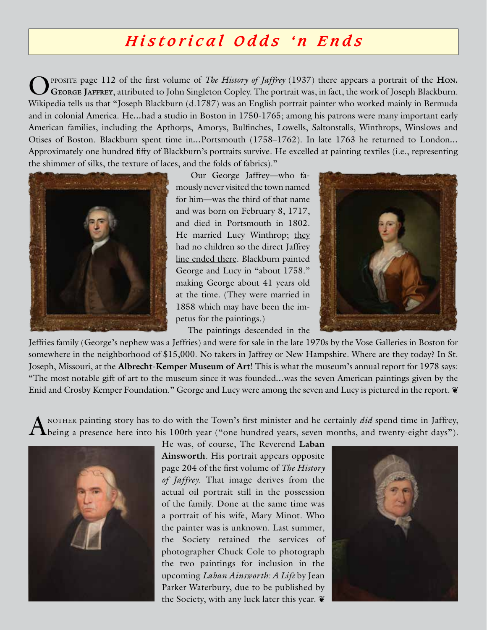### *Historical Odds 'n Ends*

PPOSITE page 112 of the first volume of *The History of Jaffrey* (1937) there appears a portrait of the Hon. **George Jaffrey**, attributed to John Singleton Copley. The portrait was, in fact, the work of Joseph Blackburn. Wikipedia tells us that "Joseph Blackburn (d.1787) was an English portrait painter who worked mainly in Bermuda and in colonial America. He*…*had a studio in Boston in 1750-1765; among his patrons were many important early American families, including the Apthorps, Amorys, Bulfinches, Lowells, Saltonstalls, Winthrops, Winslows and Otises of Boston. Blackburn spent time in*…*Portsmouth (1758–1762). In late 1763 he returned to London*…*  Approximately one hundred fifty of Blackburn's portraits survive. He excelled at painting textiles (i.e., representing the shimmer of silks, the texture of laces, and the folds of fabrics)."



 Our George Jaffrey—who famously never visited the town named for him—was the third of that name and was born on February 8, 1717, and died in Portsmouth in 1802. He married Lucy Winthrop; they had no children so the direct Jaffrey line ended there. Blackburn painted George and Lucy in "about 1758." making George about 41 years old at the time. (They were married in 1858 which may have been the impetus for the paintings.)

The paintings descended in the



Jeffries family (George's nephew was a Jeffries) and were for sale in the late 1970s by the Vose Galleries in Boston for somewhere in the neighborhood of \$15,000. No takers in Jaffrey or New Hampshire. Where are they today? In St. Joseph, Missouri, at the **Albrecht-Kemper Museum of Art**! This is what the museum's annual report for 1978 says: "The most notable gift of art to the museum since it was founded*…*was the seven American paintings given by the Enid and Crosby Kemper Foundation." George and Lucy were among the seven and Lucy is pictured in the report.  $\tilde{\mathbf{v}}$ 

A NOTHER painting story has to do with the Town's first minister and he certainly *did* spend time in Jaffrey, being a presence here into his 100th year ("one hundred years, seven months, and twenty-eight days").



He was, of course, The Reverend **Laban Ainsworth**. His portrait appears opposite page 204 of the first volume of *The History of Jaffrey*. That image derives from the actual oil portrait still in the possession of the family. Done at the same time was a portrait of his wife, Mary Minot. Who the painter was is unknown. Last summer, the Society retained the services of photographer Chuck Cole to photograph the two paintings for inclusion in the upcoming *Laban Ainsworth: A Life* by Jean Parker Waterbury, due to be published by the Society, with any luck later this year.  $\tilde{\mathbf{v}}$ 

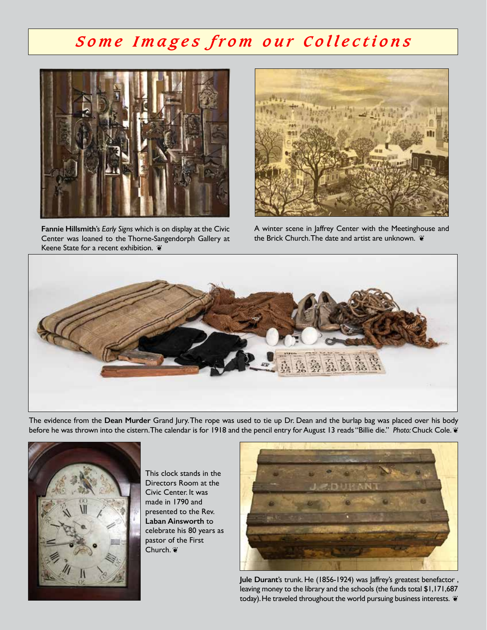### *Some Images from our Collections*



**Fannie Hillsmith**'s *Early Signs* which is on display at the Civic Center was loaned to the Thorne-Sangendorph Gallery at Keene State for a recent exhibition. ❦



A winter scene in Jaffrey Center with the Meetinghouse and the Brick Church. The date and artist are unknown.  $\tilde{\mathbf{v}}$ 



The evidence from the **Dean Murder** Grand Jury. The rope was used to tie up Dr. Dean and the burlap bag was placed over his body before he was thrown into the cistern. The calendar is for 1918 and the pencil entry for August 13 reads "Billie die." *Photo:* Chuck Cole. ❦



This clock stands in the Directors Room at the Civic Center. It was made in 1790 and presented to the Rev. **Laban Ainsworth** to celebrate his 80 years as pastor of the First Church. ❦



**Jule Durant**'s trunk. He (1856-1924) was Jaffrey's greatest benefactor , leaving money to the library and the schools (the funds total \$1,171,687 today). He traveled throughout the world pursuing business interests.  $\tilde{\mathbf{v}}$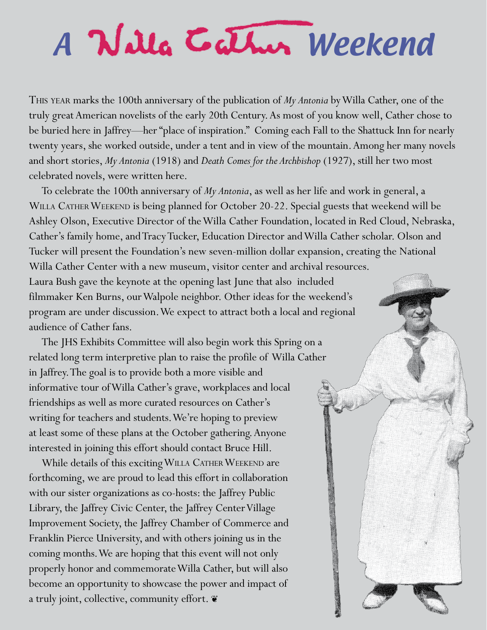# A Weekend

This year marks the 100th anniversary of the publication of *My Antonia* by Willa Cather, one of the truly great American novelists of the early 20th Century. As most of you know well, Cather chose to be buried here in Jaffrey—her "place of inspiration." Coming each Fall to the Shattuck Inn for nearly twenty years, she worked outside, under a tent and in view of the mountain. Among her many novels and short stories, *My Antonia* (1918) and *Death Comes for the Archbishop* (1927), still her two most celebrated novels, were written here.

To celebrate the 100th anniversary of *My Antonia*, as well as her life and work in general, a WILLA CATHER WEEKEND is being planned for October 20-22. Special guests that weekend will be Ashley Olson, Executive Director of the Willa Cather Foundation, located in Red Cloud, Nebraska, Cather's family home, and Tracy Tucker, Education Director and Willa Cather scholar. Olson and Tucker will present the Foundation's new seven-million dollar expansion, creating the National Willa Cather Center with a new museum, visitor center and archival resources. Laura Bush gave the keynote at the opening last June that also included filmmaker Ken Burns, our Walpole neighbor. Other ideas for the weekend's program are under discussion. We expect to attract both a local and regional audience of Cather fans.

The JHS Exhibits Committee will also begin work this Spring on a related long term interpretive plan to raise the profile of Willa Cather in Jaffrey. The goal is to provide both a more visible and informative tour of Willa Cather's grave, workplaces and local friendships as well as more curated resources on Cather's writing for teachers and students. We're hoping to preview at least some of these plans at the October gathering. Anyone interested in joining this effort should contact Bruce Hill.

While details of this exciting WILLA CATHER WEEKEND are forthcoming, we are proud to lead this effort in collaboration with our sister organizations as co-hosts: the Jaffrey Public Library, the Jaffrey Civic Center, the Jaffrey Center Village Improvement Society, the Jaffrey Chamber of Commerce and Franklin Pierce University, and with others joining us in the coming months. We are hoping that this event will not only properly honor and commemorate Willa Cather, but will also become an opportunity to showcase the power and impact of a truly joint, collective, community effort.  $\mathbf{\tilde{v}}$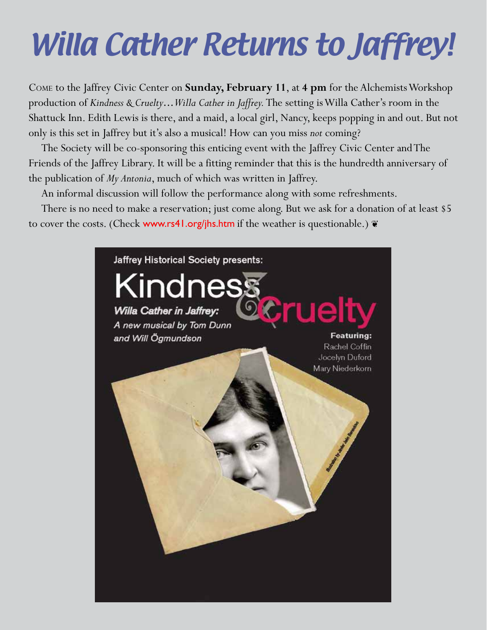# Willa Cather Returns to Jaffrey!

Come to the Jaffrey Civic Center on **Sunday, February 11**, at **4 pm** for the Alchemists Workshop production of *Kindness & Cruelty…Willa Cather in Jaffrey.* The setting is Willa Cather's room in the Shattuck Inn. Edith Lewis is there, and a maid, a local girl, Nancy, keeps popping in and out. But not only is this set in Jaffrey but it's also a musical! How can you miss *not* coming?

The Society will be co-sponsoring this enticing event with the Jaffrey Civic Center and The Friends of the Jaffrey Library. It will be a fitting reminder that this is the hundredth anniversary of the publication of *My Antonia*, much of which was written in Jaffrey.

An informal discussion will follow the performance along with some refreshments.

There is no need to make a reservation; just come along. But we ask for a donation of at least \$5 to cover the costs. (Check www.rs41.org/jhs.htm if the weather is questionable.)  $\mathbf{\tilde{z}}$